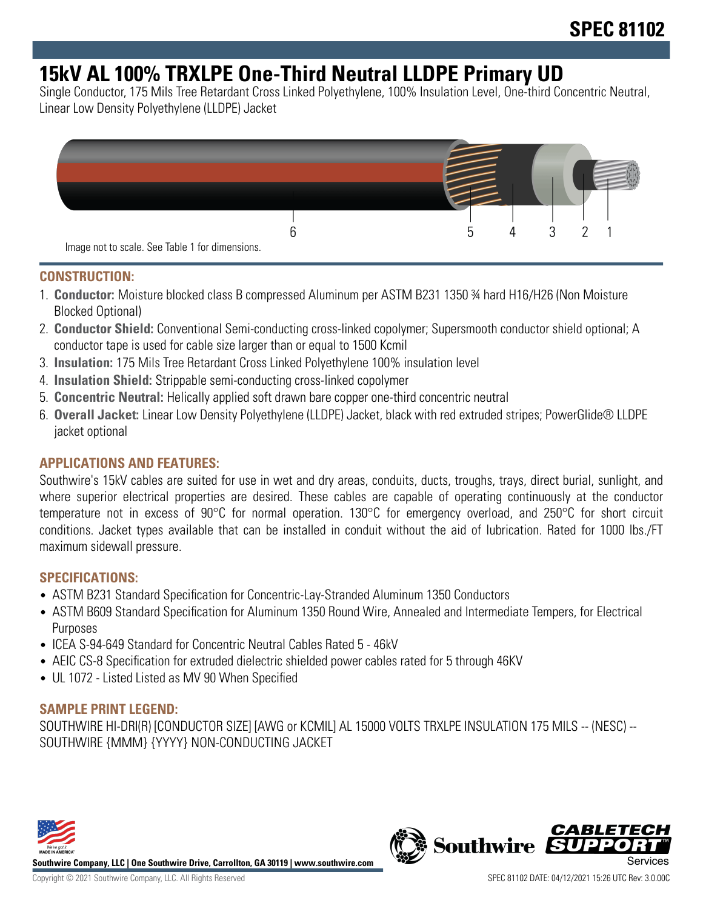## **15kV AL 100% TRXLPE One-Third Neutral LLDPE Primary UD**

Single Conductor, 175 Mils Tree Retardant Cross Linked Polyethylene, 100% Insulation Level, One-third Concentric Neutral, Linear Low Density Polyethylene (LLDPE) Jacket



#### **CONSTRUCTION:**

- 1. **Conductor:** Moisture blocked class B compressed Aluminum per ASTM B231 1350 ¾ hard H16/H26 (Non Moisture Blocked Optional)
- 2. **Conductor Shield:** Conventional Semi-conducting cross-linked copolymer; Supersmooth conductor shield optional; A conductor tape is used for cable size larger than or equal to 1500 Kcmil
- 3. **Insulation:** 175 Mils Tree Retardant Cross Linked Polyethylene 100% insulation level
- 4. **Insulation Shield:** Strippable semi-conducting cross-linked copolymer
- 5. **Concentric Neutral:** Helically applied soft drawn bare copper one-third concentric neutral
- 6. **Overall Jacket:** Linear Low Density Polyethylene (LLDPE) Jacket, black with red extruded stripes; PowerGlide® LLDPE jacket optional

## **APPLICATIONS AND FEATURES:**

Southwire's 15kV cables are suited for use in wet and dry areas, conduits, ducts, troughs, trays, direct burial, sunlight, and where superior electrical properties are desired. These cables are capable of operating continuously at the conductor temperature not in excess of 90°C for normal operation. 130°C for emergency overload, and 250°C for short circuit conditions. Jacket types available that can be installed in conduit without the aid of lubrication. Rated for 1000 lbs./FT maximum sidewall pressure.

#### **SPECIFICATIONS:**

- ASTM B231 Standard Specification for Concentric-Lay-Stranded Aluminum 1350 Conductors
- ASTM B609 Standard Specification for Aluminum 1350 Round Wire, Annealed and Intermediate Tempers, for Electrical Purposes
- ICEA S-94-649 Standard for Concentric Neutral Cables Rated 5 46kV
- AEIC CS-8 Specification for extruded dielectric shielded power cables rated for 5 through 46KV
- UL 1072 Listed Listed as MV 90 When Specified

## **SAMPLE PRINT LEGEND:**

SOUTHWIRE HI-DRI(R) [CONDUCTOR SIZE] [AWG or KCMIL] AL 15000 VOLTS TRXLPE INSULATION 175 MILS -- (NESC) -- SOUTHWIRE {MMM} {YYYY} NON-CONDUCTING JACKET



**Southwire Company, LLC | One Southwire Drive, Carrollton, GA 30119 | www.southwire.com**

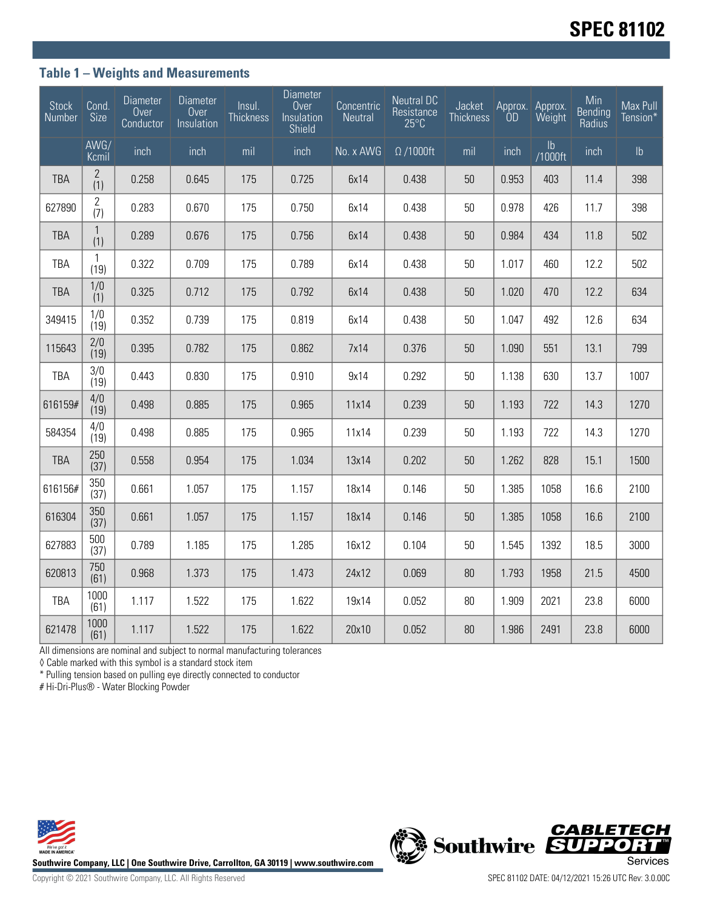### **Table 1 – Weights and Measurements**

| <b>Stock</b><br>Number | Cond.<br>Size         | <b>Diameter</b><br>Over<br>Conductor | Diameter<br>Over<br>Insulation | Insul.<br><b>Thickness</b> | <b>Diameter</b><br>Over<br>Insulation<br>Shield | Concentric<br>Neutral | <b>Neutral DC</b><br>Resistance<br>$25^{\circ}$ C | Jacket<br><b>Thickness</b> | Approx.<br>ÒD | Approx.<br>Weight        | Min<br>Bending<br>Radius | Max Pull<br>Tension* |
|------------------------|-----------------------|--------------------------------------|--------------------------------|----------------------------|-------------------------------------------------|-----------------------|---------------------------------------------------|----------------------------|---------------|--------------------------|--------------------------|----------------------|
|                        | AWG/<br>Kcmil         | inch                                 | inch                           | mil                        | inch                                            | No. x AWG             | $\Omega$ /1000ft                                  | mil                        | inch          | $\mathsf{lb}$<br>/1000ft | inch                     | $\mathsf{lb}$        |
| <b>TBA</b>             | $\mathbf{2}$<br>(1)   | 0.258                                | 0.645                          | 175                        | 0.725                                           | 6x14                  | 0.438                                             | 50                         | 0.953         | 403                      | 11.4                     | 398                  |
| 627890                 | $\overline{c}$<br>(7) | 0.283                                | 0.670                          | 175                        | 0.750                                           | 6x14                  | 0.438                                             | 50                         | 0.978         | 426                      | 11.7                     | 398                  |
| <b>TBA</b>             | $\mathbf{1}$<br>(1)   | 0.289                                | 0.676                          | 175                        | 0.756                                           | 6x14                  | 0.438                                             | 50                         | 0.984         | 434                      | 11.8                     | 502                  |
| TBA                    | 1<br>(19)             | 0.322                                | 0.709                          | 175                        | 0.789                                           | 6x14                  | 0.438                                             | 50                         | 1.017         | 460                      | 12.2                     | 502                  |
| <b>TBA</b>             | 1/0<br>(1)            | 0.325                                | 0.712                          | 175                        | 0.792                                           | 6x14                  | 0.438                                             | 50                         | 1.020         | 470                      | 12.2                     | 634                  |
| 349415                 | 1/0<br>(19)           | 0.352                                | 0.739                          | 175                        | 0.819                                           | 6x14                  | 0.438                                             | 50                         | 1.047         | 492                      | 12.6                     | 634                  |
| 115643                 | 2/0<br>(19)           | 0.395                                | 0.782                          | 175                        | 0.862                                           | 7x14                  | 0.376                                             | 50                         | 1.090         | 551                      | 13.1                     | 799                  |
| TBA                    | 3/0<br>(19)           | 0.443                                | 0.830                          | 175                        | 0.910                                           | 9x14                  | 0.292                                             | 50                         | 1.138         | 630                      | 13.7                     | 1007                 |
| 616159#                | 4/0<br>(19)           | 0.498                                | 0.885                          | 175                        | 0.965                                           | 11x14                 | 0.239                                             | 50                         | 1.193         | 722                      | 14.3                     | 1270                 |
| 584354                 | 4/0<br>(19)           | 0.498                                | 0.885                          | 175                        | 0.965                                           | 11x14                 | 0.239                                             | 50                         | 1.193         | 722                      | 14.3                     | 1270                 |
| <b>TBA</b>             | 250<br>(37)           | 0.558                                | 0.954                          | 175                        | 1.034                                           | 13x14                 | 0.202                                             | 50                         | 1.262         | 828                      | 15.1                     | 1500                 |
| 616156#                | 350<br>(37)           | 0.661                                | 1.057                          | 175                        | 1.157                                           | 18x14                 | 0.146                                             | 50                         | 1.385         | 1058                     | 16.6                     | 2100                 |
| 616304                 | 350<br>(37)           | 0.661                                | 1.057                          | 175                        | 1.157                                           | 18x14                 | 0.146                                             | 50                         | 1.385         | 1058                     | 16.6                     | 2100                 |
| 627883                 | 500<br>(37)           | 0.789                                | 1.185                          | 175                        | 1.285                                           | 16x12                 | 0.104                                             | 50                         | 1.545         | 1392                     | 18.5                     | 3000                 |
| 620813                 | 750<br>(61)           | 0.968                                | 1.373                          | 175                        | 1.473                                           | 24x12                 | 0.069                                             | 80                         | 1.793         | 1958                     | 21.5                     | 4500                 |
| <b>TBA</b>             | 1000<br>(61)          | 1.117                                | 1.522                          | 175                        | 1.622                                           | 19x14                 | 0.052                                             | 80                         | 1.909         | 2021                     | 23.8                     | 6000                 |
| 621478                 | 1000<br>(61)          | 1.117                                | 1.522                          | 175                        | 1.622                                           | 20x10                 | 0.052                                             | 80                         | 1.986         | 2491                     | 23.8                     | 6000                 |

All dimensions are nominal and subject to normal manufacturing tolerances

◊ Cable marked with this symbol is a standard stock item

\* Pulling tension based on pulling eye directly connected to conductor

# Hi-Dri-Plus® - Water Blocking Powder



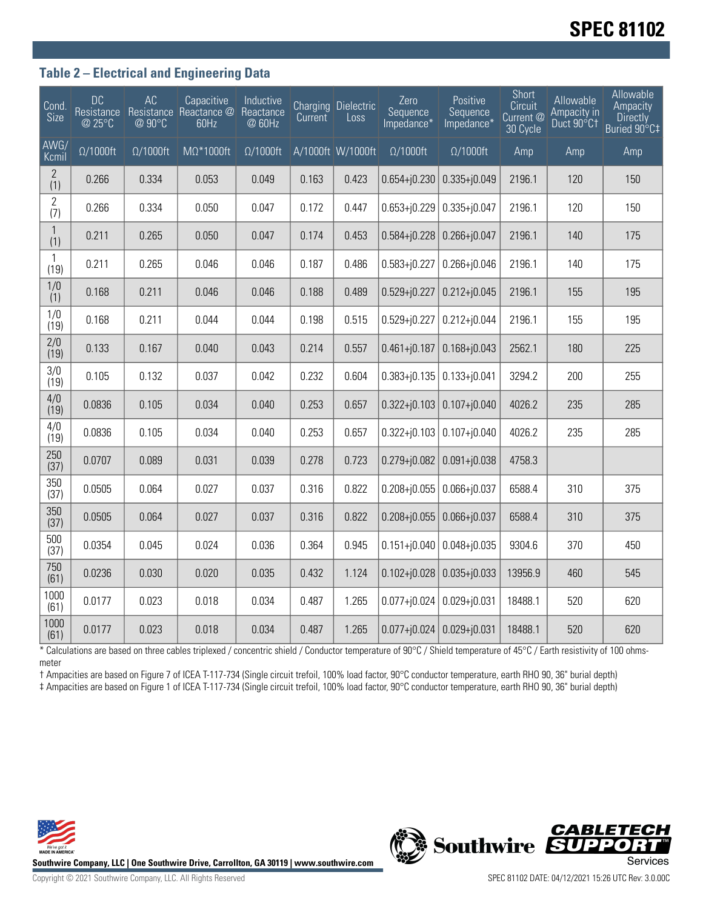# **SPEC 81102**

### **Table 2 – Electrical and Engineering Data**

| $\overline{\text{Cond}}$<br><b>Size</b> | <b>DC</b><br>Resistance<br>@ 25°C | AC<br>@ 90°C     | Capacitive<br>Resistance Reactance @<br>60Hz | Inductive<br>Reactance<br>@ 60Hz | Current | Charging Dielectric<br>Loss | Zero<br>Sequence<br>Impedance* | Positive<br>Sequence<br>Impedance* | Short<br>Circuit<br>Current @<br>30 Cycle | Allowable<br>Ampacity in<br>Duct 90°C1 | Allowable<br>Ampacity<br><b>Directly</b><br>Buried 90°C‡ |
|-----------------------------------------|-----------------------------------|------------------|----------------------------------------------|----------------------------------|---------|-----------------------------|--------------------------------|------------------------------------|-------------------------------------------|----------------------------------------|----------------------------------------------------------|
| AWG/<br>Kcmil                           | $\Omega/1000$ ft                  | $\Omega/1000$ ft | $M\Omega^*1000$ ft                           | $\Omega/1000$ ft                 |         | A/1000ft W/1000ft           | $\Omega/1000$ ft               | $\Omega/1000$ ft                   | Amp                                       | Amp                                    | Amp                                                      |
| $\mathbf{2}$<br>(1)                     | 0.266                             | 0.334            | 0.053                                        | 0.049                            | 0.163   | 0.423                       | $0.654 + j0.230$               | $0.335 + j0.049$                   | 2196.1                                    | 120                                    | 150                                                      |
| $\mathbf 2$<br>(7)                      | 0.266                             | 0.334            | 0.050                                        | 0.047                            | 0.172   | 0.447                       | $0.653 + j0.229$               | $0.335 + j0.047$                   | 2196.1                                    | 120                                    | 150                                                      |
| $\mathbf{1}$<br>(1)                     | 0.211                             | 0.265            | 0.050                                        | 0.047                            | 0.174   | 0.453                       | $0.584 + j0.228$               | $0.266 + j0.047$                   | 2196.1                                    | 140                                    | 175                                                      |
| $\mathbf{1}$<br>(19)                    | 0.211                             | 0.265            | 0.046                                        | 0.046                            | 0.187   | 0.486                       | $0.583 + j0.227$               | $0.266 + j0.046$                   | 2196.1                                    | 140                                    | 175                                                      |
| 1/0<br>(1)                              | 0.168                             | 0.211            | 0.046                                        | 0.046                            | 0.188   | 0.489                       | $0.529 + j0.227$               | $0.212 + j0.045$                   | 2196.1                                    | 155                                    | 195                                                      |
| 1/0<br>(19)                             | 0.168                             | 0.211            | 0.044                                        | 0.044                            | 0.198   | 0.515                       | $0.529 + j0.227$               | $0.212 + j0.044$                   | 2196.1                                    | 155                                    | 195                                                      |
| 2/0<br>(19)                             | 0.133                             | 0.167            | 0.040                                        | 0.043                            | 0.214   | 0.557                       | $0.461 + j0.187$               | $0.168 + j0.043$                   | 2562.1                                    | 180                                    | 225                                                      |
| 3/0<br>(19)                             | 0.105                             | 0.132            | 0.037                                        | 0.042                            | 0.232   | 0.604                       | $0.383 + j0.135$               | $0.133 + j0.041$                   | 3294.2                                    | 200                                    | 255                                                      |
| 4/0<br>(19)                             | 0.0836                            | 0.105            | 0.034                                        | 0.040                            | 0.253   | 0.657                       | $0.322 + j0.103$               | $0.107 + j0.040$                   | 4026.2                                    | 235                                    | 285                                                      |
| 4/0<br>(19)                             | 0.0836                            | 0.105            | 0.034                                        | 0.040                            | 0.253   | 0.657                       | $0.322 + j0.103$               | $0.107 + j0.040$                   | 4026.2                                    | 235                                    | 285                                                      |
| 250<br>(37)                             | 0.0707                            | 0.089            | 0.031                                        | 0.039                            | 0.278   | 0.723                       | $0.279 + j0.082$               | $0.091 + j0.038$                   | 4758.3                                    |                                        |                                                          |
| 350<br>(37)                             | 0.0505                            | 0.064            | 0.027                                        | 0.037                            | 0.316   | 0.822                       | $0.208 + j0.055$               | $0.066 + j0.037$                   | 6588.4                                    | 310                                    | 375                                                      |
| 350<br>(37)                             | 0.0505                            | 0.064            | 0.027                                        | 0.037                            | 0.316   | 0.822                       | $0.208 + j0.055$               | $0.066 + j0.037$                   | 6588.4                                    | 310                                    | 375                                                      |
| 500<br>(37)                             | 0.0354                            | 0.045            | 0.024                                        | 0.036                            | 0.364   | 0.945                       | $0.151 + j0.040$               | $0.048 + j0.035$                   | 9304.6                                    | 370                                    | 450                                                      |
| 750<br>(61)                             | 0.0236                            | 0.030            | 0.020                                        | 0.035                            | 0.432   | 1.124                       | $0.102 + j0.028$               | $0.035 + j0.033$                   | 13956.9                                   | 460                                    | 545                                                      |
| 1000<br>(61)                            | 0.0177                            | 0.023            | 0.018                                        | 0.034                            | 0.487   | 1.265                       | $0.077 + j0.024$               | $0.029 + j0.031$                   | 18488.1                                   | 520                                    | 620                                                      |
| 1000<br>(61)                            | 0.0177                            | 0.023            | 0.018                                        | 0.034                            | 0.487   | 1.265                       | $0.077 + 0.024$                | $0.029 + j0.031$                   | 18488.1                                   | 520                                    | 620                                                      |

\* Calculations are based on three cables triplexed / concentric shield / Conductor temperature of 90°C / Shield temperature of 45°C / Earth resistivity of 100 ohmsmeter

† Ampacities are based on Figure 7 of ICEA T-117-734 (Single circuit trefoil, 100% load factor, 90°C conductor temperature, earth RHO 90, 36" burial depth) ‡ Ampacities are based on Figure 1 of ICEA T-117-734 (Single circuit trefoil, 100% load factor, 90°C conductor temperature, earth RHO 90, 36" burial depth)



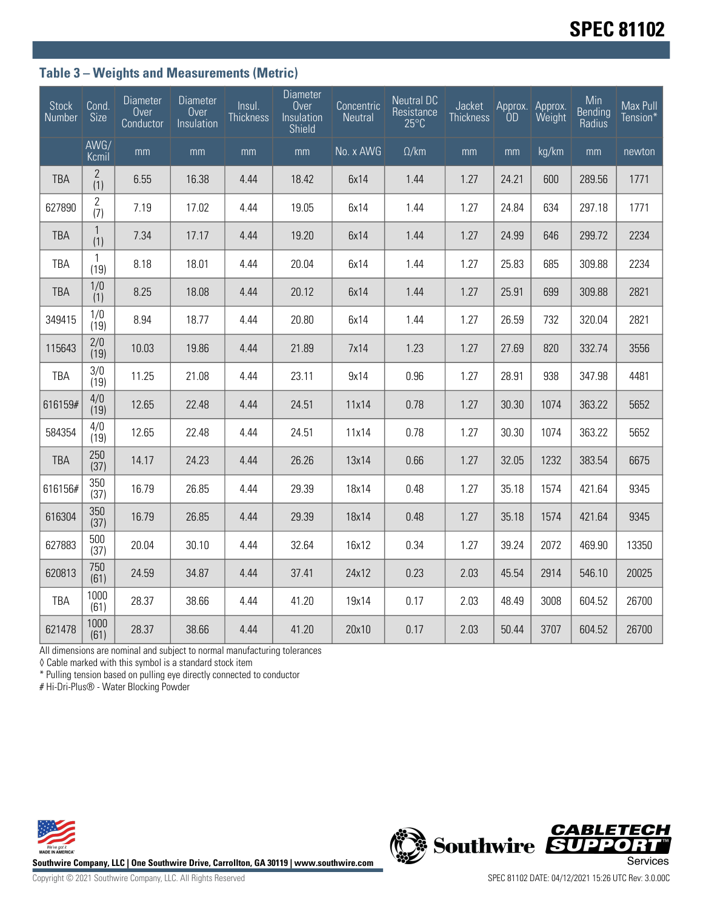### **Table 3 – Weights and Measurements (Metric)**

| <b>Stock</b><br>Number | $\overline{\text{Cond}}$ .<br>Size | Diameter<br>Over<br>Conductor | Diameter<br>Over<br>Insulation | Insul.<br><b>Thickness</b> | <b>Diameter</b><br>Over<br>Insulation<br>Shield | Concentric<br>Neutral | <b>Neutral DC</b><br>Resistance<br>$25^{\circ}$ C | Jacket<br><b>Thickness</b> | Approx.<br>ÓD | Approx.<br>Weight | Min<br><b>Bending</b><br>Radius | Max Pull<br>Tension* |
|------------------------|------------------------------------|-------------------------------|--------------------------------|----------------------------|-------------------------------------------------|-----------------------|---------------------------------------------------|----------------------------|---------------|-------------------|---------------------------------|----------------------|
|                        | AWG/<br>Kcmil                      | mm                            | mm                             | mm                         | mm                                              | No. x AWG             | $\Omega/km$                                       | mm                         | mm            | kg/km             | mm                              | newton               |
| <b>TBA</b>             | 2<br>(1)                           | 6.55                          | 16.38                          | 4.44                       | 18.42                                           | 6x14                  | 1.44                                              | 1.27                       | 24.21         | 600               | 289.56                          | 1771                 |
| 627890                 | 2<br>(7)                           | 7.19                          | 17.02                          | 4.44                       | 19.05                                           | 6x14                  | 1.44                                              | 1.27                       | 24.84         | 634               | 297.18                          | 1771                 |
| <b>TBA</b>             | $\mathbf{1}$<br>(1)                | 7.34                          | 17.17                          | 4.44                       | 19.20                                           | 6x14                  | 1.44                                              | 1.27                       | 24.99         | 646               | 299.72                          | 2234                 |
| <b>TBA</b>             | 1<br>(19)                          | 8.18                          | 18.01                          | 4.44                       | 20.04                                           | 6x14                  | 1.44                                              | 1.27                       | 25.83         | 685               | 309.88                          | 2234                 |
| <b>TBA</b>             | 1/0<br>(1)                         | 8.25                          | 18.08                          | 4.44                       | 20.12                                           | 6x14                  | 1.44                                              | 1.27                       | 25.91         | 699               | 309.88                          | 2821                 |
| 349415                 | 1/0<br>(19)                        | 8.94                          | 18.77                          | 4.44                       | 20.80                                           | 6x14                  | 1.44                                              | 1.27                       | 26.59         | 732               | 320.04                          | 2821                 |
| 115643                 | 2/0<br>(19)                        | 10.03                         | 19.86                          | 4.44                       | 21.89                                           | 7x14                  | 1.23                                              | 1.27                       | 27.69         | 820               | 332.74                          | 3556                 |
| <b>TBA</b>             | 3/0<br>(19)                        | 11.25                         | 21.08                          | 4.44                       | 23.11                                           | 9x14                  | 0.96                                              | 1.27                       | 28.91         | 938               | 347.98                          | 4481                 |
| 616159#                | 4/0<br>(19)                        | 12.65                         | 22.48                          | 4.44                       | 24.51                                           | 11x14                 | 0.78                                              | 1.27                       | 30.30         | 1074              | 363.22                          | 5652                 |
| 584354                 | 4/0<br>(19)                        | 12.65                         | 22.48                          | 4.44                       | 24.51                                           | 11x14                 | 0.78                                              | 1.27                       | 30.30         | 1074              | 363.22                          | 5652                 |
| <b>TBA</b>             | 250<br>(37)                        | 14.17                         | 24.23                          | 4.44                       | 26.26                                           | 13x14                 | 0.66                                              | 1.27                       | 32.05         | 1232              | 383.54                          | 6675                 |
| 616156#                | 350<br>(37)                        | 16.79                         | 26.85                          | 4.44                       | 29.39                                           | 18x14                 | 0.48                                              | 1.27                       | 35.18         | 1574              | 421.64                          | 9345                 |
| 616304                 | 350<br>(37)                        | 16.79                         | 26.85                          | 4.44                       | 29.39                                           | 18x14                 | 0.48                                              | 1.27                       | 35.18         | 1574              | 421.64                          | 9345                 |
| 627883                 | 500<br>(37)                        | 20.04                         | 30.10                          | 4.44                       | 32.64                                           | 16x12                 | 0.34                                              | 1.27                       | 39.24         | 2072              | 469.90                          | 13350                |
| 620813                 | 750<br>(61)                        | 24.59                         | 34.87                          | 4.44                       | 37.41                                           | 24x12                 | 0.23                                              | 2.03                       | 45.54         | 2914              | 546.10                          | 20025                |
| <b>TBA</b>             | 1000<br>(61)                       | 28.37                         | 38.66                          | 4.44                       | 41.20                                           | 19x14                 | 0.17                                              | 2.03                       | 48.49         | 3008              | 604.52                          | 26700                |
| 621478                 | 1000<br>(61)                       | 28.37                         | 38.66                          | 4.44                       | 41.20                                           | 20x10                 | 0.17                                              | 2.03                       | 50.44         | 3707              | 604.52                          | 26700                |

All dimensions are nominal and subject to normal manufacturing tolerances

◊ Cable marked with this symbol is a standard stock item

\* Pulling tension based on pulling eye directly connected to conductor

# Hi-Dri-Plus® - Water Blocking Powder